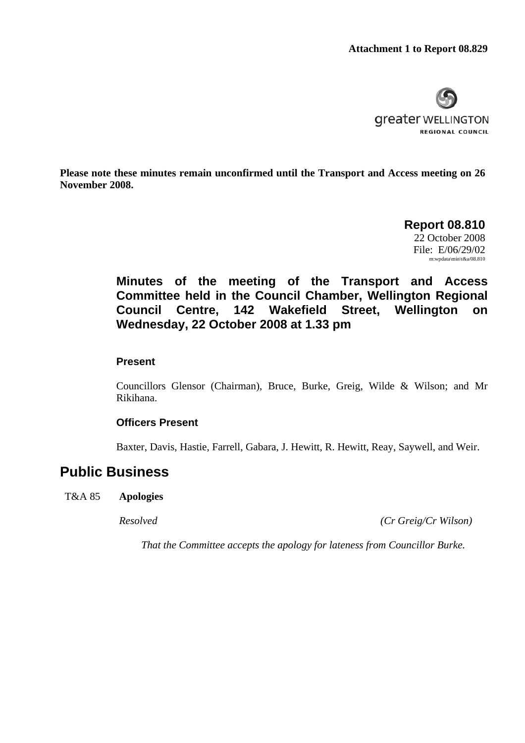

**Please note these minutes remain unconfirmed until the Transport and Access meeting on 26 November 2008.** 

> **Report 08.810**  22 October 2008 File: E/06/29/02 m:wpdata\min\t&a/08.810

**Minutes of the meeting of the Transport and Access Committee held in the Council Chamber, Wellington Regional Council Centre, 142 Wakefield Street, Wellington on Wednesday, 22 October 2008 at 1.33 pm** 

## **Present**

Councillors Glensor (Chairman), Bruce, Burke, Greig, Wilde & Wilson; and Mr Rikihana.

## **Officers Present**

Baxter, Davis, Hastie, Farrell, Gabara, J. Hewitt, R. Hewitt, Reay, Saywell, and Weir.

# **Public Business**

T&A 85 **Apologies** 

*Resolved (Cr Greig/Cr Wilson)*

*That the Committee accepts the apology for lateness from Councillor Burke.*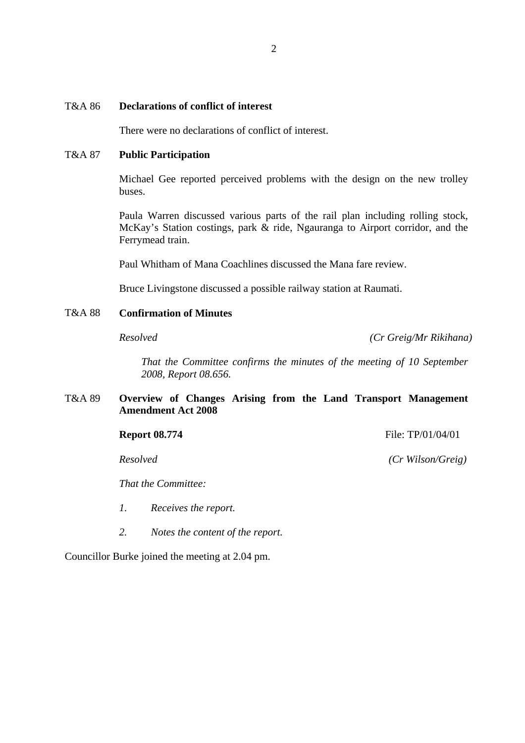### T&A 86 **Declarations of conflict of interest**

There were no declarations of conflict of interest.

#### T&A 87 **Public Participation**

Michael Gee reported perceived problems with the design on the new trolley buses.

Paula Warren discussed various parts of the rail plan including rolling stock, McKay's Station costings, park & ride, Ngauranga to Airport corridor, and the Ferrymead train.

Paul Whitham of Mana Coachlines discussed the Mana fare review.

Bruce Livingstone discussed a possible railway station at Raumati.

#### T&A 88 **Confirmation of Minutes**

*Resolved (Cr Greig/Mr Rikihana)*

*That the Committee confirms the minutes of the meeting of 10 September 2008, Report 08.656.* 

### T&A 89 **Overview of Changes Arising from the Land Transport Management Amendment Act 2008**

#### **Report 08.774 File: TP/01/04/01**

*That the Committee:* 

- *1. Receives the report.*
- *2. Notes the content of the report.*

Councillor Burke joined the meeting at 2.04 pm.

*Resolved (Cr Wilson/Greig)*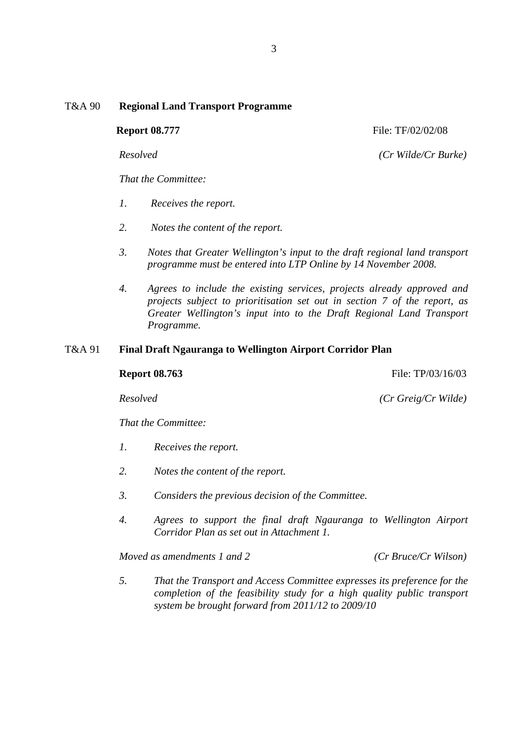## T&A 90 **Regional Land Transport Programme**

*That the Committee:* 

- *1. Receives the report.*
- *2. Notes the content of the report.*
- *3. Notes that Greater Wellington's input to the draft regional land transport programme must be entered into LTP Online by 14 November 2008.*
- *4. Agrees to include the existing services, projects already approved and projects subject to prioritisation set out in section 7 of the report, as Greater Wellington's input into to the Draft Regional Land Transport Programme.*

### T&A 91 **Final Draft Ngauranga to Wellington Airport Corridor Plan**

**Report 08.763 File: TP**/03/16/03

*Resolved (Cr Greig/Cr Wilde)*

*That the Committee:* 

- *1. Receives the report.*
- *2. Notes the content of the report.*
- *3. Considers the previous decision of the Committee.*
- *4. Agrees to support the final draft Ngauranga to Wellington Airport Corridor Plan as set out in Attachment 1.*

*Moved as amendments 1 and 2 (Cr Bruce/Cr Wilson)* 

*5. That the Transport and Access Committee expresses its preference for the completion of the feasibility study for a high quality public transport system be brought forward from 2011/12 to 2009/10* 

**Report 08.777** File: TF/02/02/08

*Resolved (Cr Wilde/Cr Burke)*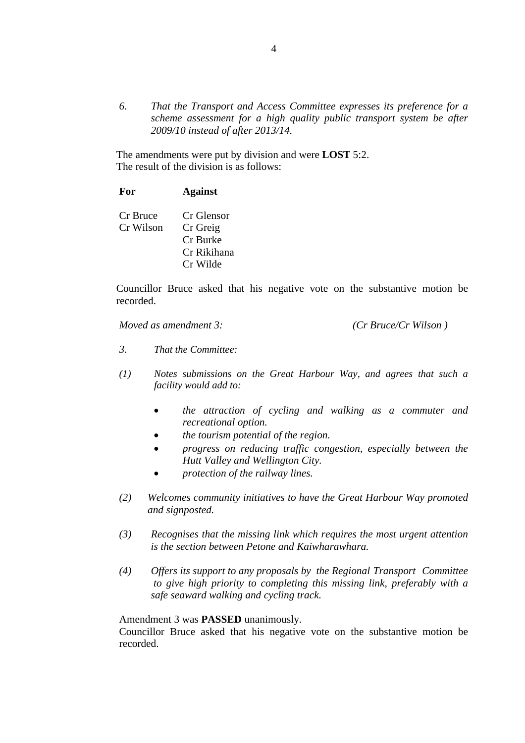*6. That the Transport and Access Committee expresses its preference for a scheme assessment for a high quality public transport system be after 2009/10 instead of after 2013/14.* 

 The amendments were put by division and were **LOST** 5:2. The result of the division is as follows:

### **For Against**

 Cr Bruce Cr Glensor Cr Wilson Cr Greig Cr Burke Cr Rikihana Cr Wilde

 Councillor Bruce asked that his negative vote on the substantive motion be recorded.

*Moved as amendment 3: (Cr Bruce/Cr Wilson )* 

- *3. That the Committee:*
- *(1) Notes submissions on the Great Harbour Way, and agrees that such a facility would add to:*
	- *the attraction of cycling and walking as a commuter and recreational option.*
	- *the tourism potential of the region.*
	- *progress on reducing traffic congestion, especially between the Hutt Valley and Wellington City.*
	- *protection of the railway lines.*
- *(2) Welcomes community initiatives to have the Great Harbour Way promoted and signposted.*
- *(3) Recognises that the missing link which requires the most urgent attention is the section between Petone and Kaiwharawhara.*
- *(4) Offers its support to any proposals by the Regional Transport Committee to give high priority to completing this missing link, preferably with a safe seaward walking and cycling track.*

Amendment 3 was **PASSED** unanimously.

 Councillor Bruce asked that his negative vote on the substantive motion be recorded.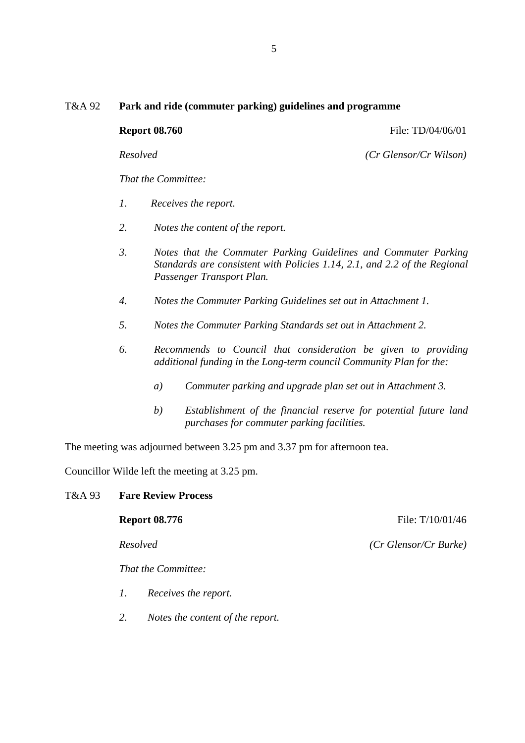## T&A 92 **Park and ride (commuter parking) guidelines and programme**

| <b>Report 08.760</b> |  |
|----------------------|--|
|                      |  |

**Report 08.760 File: TD**/04/06/01

*Resolved (Cr Glensor/Cr Wilson)*

*That the Committee:* 

- *1. Receives the report.*
- *2. Notes the content of the report.*
- *3. Notes that the Commuter Parking Guidelines and Commuter Parking Standards are consistent with Policies 1.14, 2.1, and 2.2 of the Regional Passenger Transport Plan.*
- *4. Notes the Commuter Parking Guidelines set out in Attachment 1.*
- *5. Notes the Commuter Parking Standards set out in Attachment 2.*
- *6. Recommends to Council that consideration be given to providing additional funding in the Long-term council Community Plan for the:* 
	- *a) Commuter parking and upgrade plan set out in Attachment 3.*
	- *b) Establishment of the financial reserve for potential future land purchases for commuter parking facilities.*

The meeting was adjourned between 3.25 pm and 3.37 pm for afternoon tea.

Councillor Wilde left the meeting at 3.25 pm.

#### T&A 93 **Fare Review Process**

**Report 08.776 File:** T/10/01/46 *Resolved (Cr Glensor/Cr Burke)*

*That the Committee:* 

- *1. Receives the report.*
- *2. Notes the content of the report.*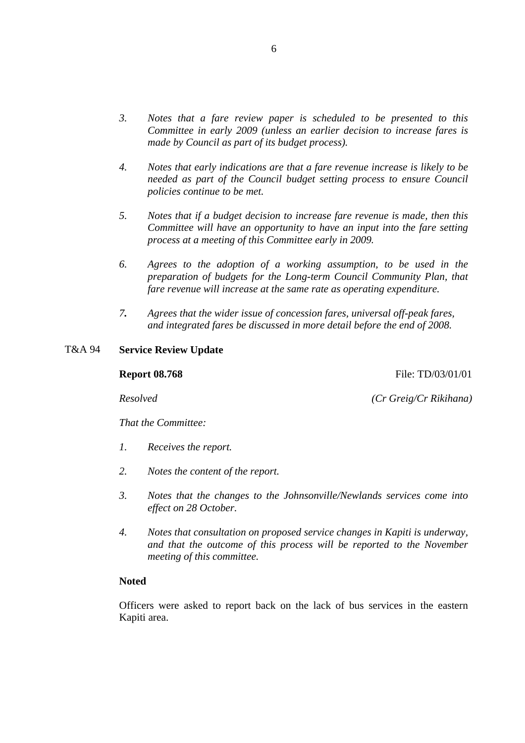- *3. Notes that a fare review paper is scheduled to be presented to this Committee in early 2009 (unless an earlier decision to increase fares is made by Council as part of its budget process).*
- *4. Notes that early indications are that a fare revenue increase is likely to be needed as part of the Council budget setting process to ensure Council policies continue to be met.*
- *5. Notes that if a budget decision to increase fare revenue is made, then this Committee will have an opportunity to have an input into the fare setting process at a meeting of this Committee early in 2009.*
- *6. Agrees to the adoption of a working assumption, to be used in the preparation of budgets for the Long-term Council Community Plan, that fare revenue will increase at the same rate as operating expenditure.*
- *7. Agrees that the wider issue of concession fares, universal off-peak fares, and integrated fares be discussed in more detail before the end of 2008.*

#### T&A 94 **Service Review Update**

#### **Report 08.768 File: TD**/03/01/01

*Resolved (Cr Greig/Cr Rikihana)*

*That the Committee:* 

- *1. Receives the report.*
- *2. Notes the content of the report.*
- *3. Notes that the changes to the Johnsonville/Newlands services come into effect on 28 October.*
- *4. Notes that consultation on proposed service changes in Kapiti is underway, and that the outcome of this process will be reported to the November meeting of this committee.*

#### **Noted**

Officers were asked to report back on the lack of bus services in the eastern Kapiti area.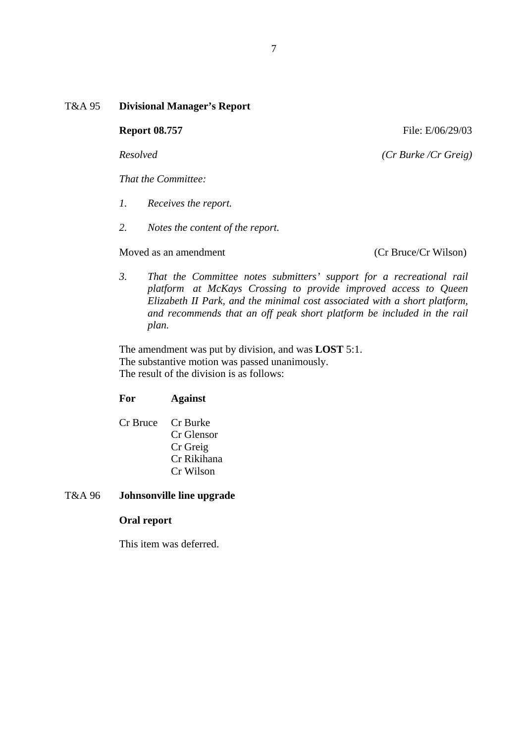## T&A 95 **Divisional Manager's Report**

*That the Committee:* 

- *1. Receives the report.*
- *2. Notes the content of the report.*

### Moved as an amendment (Cr Bruce/Cr Wilson)

*3. That the Committee notes submitters' support for a recreational rail platform at McKays Crossing to provide improved access to Queen Elizabeth II Park, and the minimal cost associated with a short platform, and recommends that an off peak short platform be included in the rail plan.* 

 The amendment was put by division, and was **LOST** 5:1. The substantive motion was passed unanimously. The result of the division is as follows:

## **For Against**

 Cr Bruce Cr Burke Cr Glensor Cr Greig Cr Rikihana Cr Wilson

## T&A 96 **Johnsonville line upgrade**

## **Oral report**

This item was deferred.

**Report 08.757 File: E/06/29/03** 

*Resolved (Cr Burke /Cr Greig)*